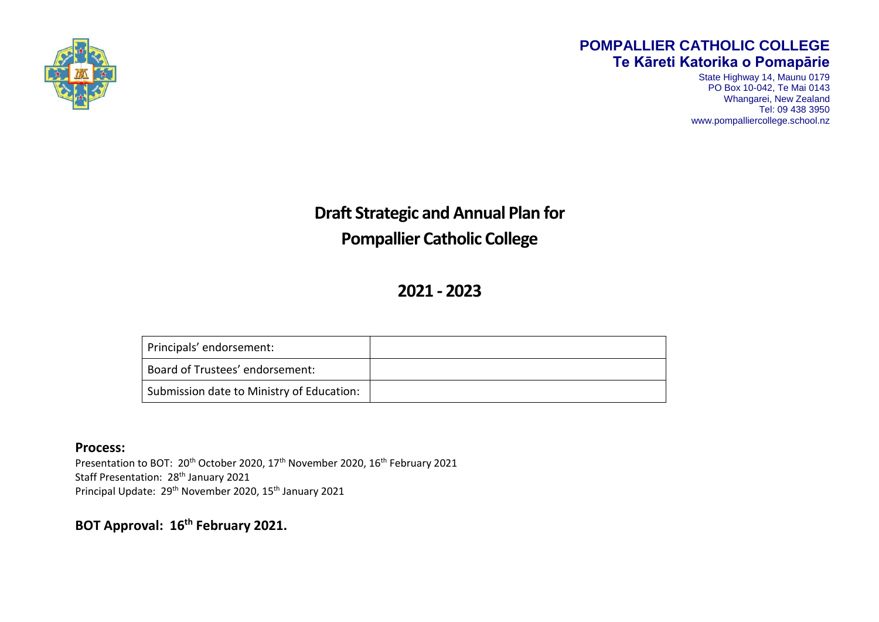

#### **POMPALLIER CATHOLIC COLLEGE Te Kāreti Katorika o Pomapārie**

State Highway 14, Maunu 0179 PO Box 10-042, Te Mai 0143 Whangarei, New Zealand Tel: 09 438 3950 www.pompalliercollege.school.nz

**Draft Strategic and Annual Plan for Pompallier Catholic College** 

**2021 - 2023**

| Principals' endorsement:                  |  |
|-------------------------------------------|--|
| Board of Trustees' endorsement:           |  |
| Submission date to Ministry of Education: |  |

#### **Process:**

Presentation to BOT: 20<sup>th</sup> October 2020, 17<sup>th</sup> November 2020, 16<sup>th</sup> February 2021 Staff Presentation: 28<sup>th</sup> January 2021 Principal Update: 29<sup>th</sup> November 2020, 15<sup>th</sup> January 2021

**BOT Approval: 16th February 2021.**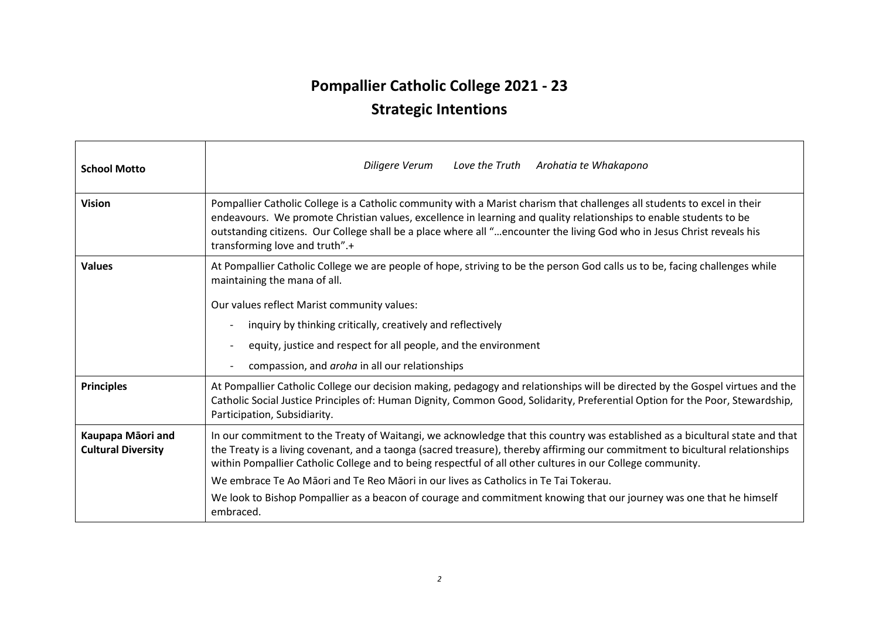# **Pompallier Catholic College 2021 - 23**

# **Strategic Intentions**

| <b>School Motto</b>                            | Love the Truth Arohatia te Whakapono<br>Diligere Verum                                                                                                                                                                                                                                                                                                                                                     |  |  |  |
|------------------------------------------------|------------------------------------------------------------------------------------------------------------------------------------------------------------------------------------------------------------------------------------------------------------------------------------------------------------------------------------------------------------------------------------------------------------|--|--|--|
| <b>Vision</b>                                  | Pompallier Catholic College is a Catholic community with a Marist charism that challenges all students to excel in their<br>endeavours. We promote Christian values, excellence in learning and quality relationships to enable students to be<br>outstanding citizens. Our College shall be a place where all "encounter the living God who in Jesus Christ reveals his<br>transforming love and truth".+ |  |  |  |
| <b>Values</b>                                  | At Pompallier Catholic College we are people of hope, striving to be the person God calls us to be, facing challenges while<br>maintaining the mana of all.<br>Our values reflect Marist community values:                                                                                                                                                                                                 |  |  |  |
|                                                | inquiry by thinking critically, creatively and reflectively                                                                                                                                                                                                                                                                                                                                                |  |  |  |
|                                                | equity, justice and respect for all people, and the environment                                                                                                                                                                                                                                                                                                                                            |  |  |  |
|                                                | compassion, and <i>aroha</i> in all our relationships                                                                                                                                                                                                                                                                                                                                                      |  |  |  |
| <b>Principles</b>                              | At Pompallier Catholic College our decision making, pedagogy and relationships will be directed by the Gospel virtues and the<br>Catholic Social Justice Principles of: Human Dignity, Common Good, Solidarity, Preferential Option for the Poor, Stewardship,<br>Participation, Subsidiarity.                                                                                                             |  |  |  |
| Kaupapa Māori and<br><b>Cultural Diversity</b> | In our commitment to the Treaty of Waitangi, we acknowledge that this country was established as a bicultural state and that<br>the Treaty is a living covenant, and a taonga (sacred treasure), thereby affirming our commitment to bicultural relationships<br>within Pompallier Catholic College and to being respectful of all other cultures in our College community.                                |  |  |  |
|                                                | We embrace Te Ao Māori and Te Reo Māori in our lives as Catholics in Te Tai Tokerau.                                                                                                                                                                                                                                                                                                                       |  |  |  |
|                                                | We look to Bishop Pompallier as a beacon of courage and commitment knowing that our journey was one that he himself<br>embraced.                                                                                                                                                                                                                                                                           |  |  |  |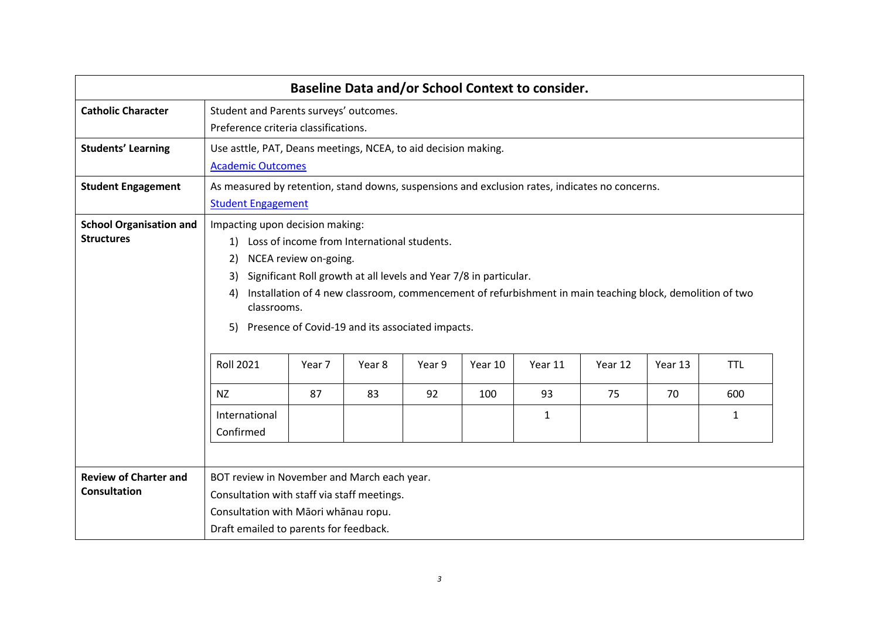| <b>Baseline Data and/or School Context to consider.</b> |                                                                                                                                                                                                                                                                                                                                                                                                                                                                                                                                                                                                              |                                                                                                                             |  |  |  |  |  |  |  |
|---------------------------------------------------------|--------------------------------------------------------------------------------------------------------------------------------------------------------------------------------------------------------------------------------------------------------------------------------------------------------------------------------------------------------------------------------------------------------------------------------------------------------------------------------------------------------------------------------------------------------------------------------------------------------------|-----------------------------------------------------------------------------------------------------------------------------|--|--|--|--|--|--|--|
| <b>Catholic Character</b>                               |                                                                                                                                                                                                                                                                                                                                                                                                                                                                                                                                                                                                              | Student and Parents surveys' outcomes.<br>Preference criteria classifications.                                              |  |  |  |  |  |  |  |
| <b>Students' Learning</b>                               |                                                                                                                                                                                                                                                                                                                                                                                                                                                                                                                                                                                                              | Use asttle, PAT, Deans meetings, NCEA, to aid decision making.<br><b>Academic Outcomes</b>                                  |  |  |  |  |  |  |  |
| <b>Student Engagement</b>                               |                                                                                                                                                                                                                                                                                                                                                                                                                                                                                                                                                                                                              | As measured by retention, stand downs, suspensions and exclusion rates, indicates no concerns.<br><b>Student Engagement</b> |  |  |  |  |  |  |  |
| <b>School Organisation and</b><br><b>Structures</b>     | Impacting upon decision making:<br>Loss of income from International students.<br>1)<br>NCEA review on-going.<br>2)<br>Significant Roll growth at all levels and Year 7/8 in particular.<br>3)<br>Installation of 4 new classroom, commencement of refurbishment in main teaching block, demolition of two<br>4)<br>classrooms.<br>Presence of Covid-19 and its associated impacts.<br>5)<br><b>Roll 2021</b><br>Year 11<br><b>TTL</b><br>Year 7<br>Year 8<br>Year 9<br>Year 10<br>Year 12<br>Year 13<br>83<br>70<br><b>NZ</b><br>87<br>92<br>100<br>93<br>75<br>600<br>International<br>1<br>1<br>Confirmed |                                                                                                                             |  |  |  |  |  |  |  |
| <b>Review of Charter and</b><br><b>Consultation</b>     | BOT review in November and March each year.<br>Consultation with staff via staff meetings.<br>Consultation with Māori whānau ropu.<br>Draft emailed to parents for feedback.                                                                                                                                                                                                                                                                                                                                                                                                                                 |                                                                                                                             |  |  |  |  |  |  |  |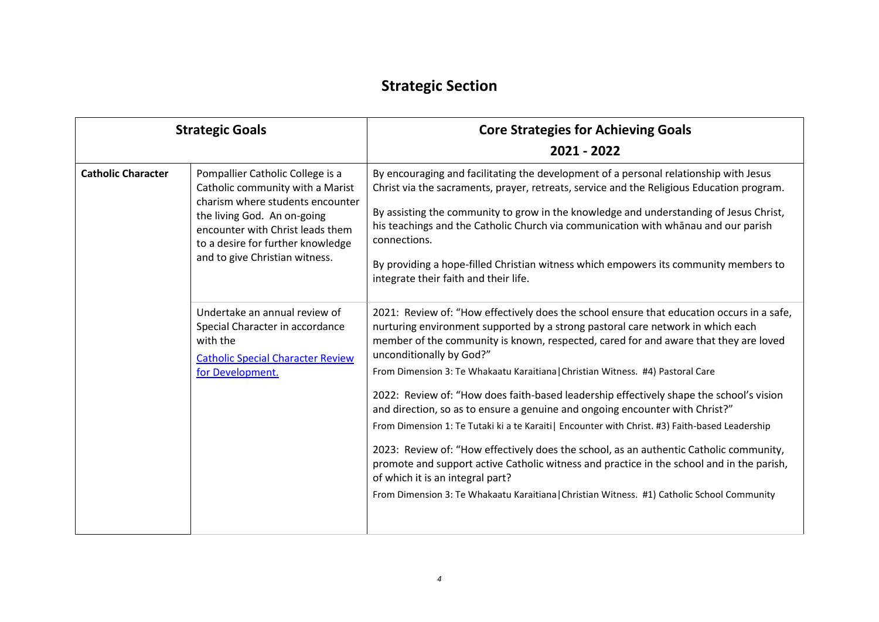### **Strategic Section**

| <b>Strategic Goals</b>    |                                                                                                                                                                                                                                                    | <b>Core Strategies for Achieving Goals</b>                                                                                                                                                                                                                                                                                                                                                                                                                                                                                                                                                                                                                                                                                                                                                                                                                                                                                                                                                  |
|---------------------------|----------------------------------------------------------------------------------------------------------------------------------------------------------------------------------------------------------------------------------------------------|---------------------------------------------------------------------------------------------------------------------------------------------------------------------------------------------------------------------------------------------------------------------------------------------------------------------------------------------------------------------------------------------------------------------------------------------------------------------------------------------------------------------------------------------------------------------------------------------------------------------------------------------------------------------------------------------------------------------------------------------------------------------------------------------------------------------------------------------------------------------------------------------------------------------------------------------------------------------------------------------|
|                           |                                                                                                                                                                                                                                                    | 2021 - 2022                                                                                                                                                                                                                                                                                                                                                                                                                                                                                                                                                                                                                                                                                                                                                                                                                                                                                                                                                                                 |
| <b>Catholic Character</b> | Pompallier Catholic College is a<br>Catholic community with a Marist<br>charism where students encounter<br>the living God. An on-going<br>encounter with Christ leads them<br>to a desire for further knowledge<br>and to give Christian witness. | By encouraging and facilitating the development of a personal relationship with Jesus<br>Christ via the sacraments, prayer, retreats, service and the Religious Education program.<br>By assisting the community to grow in the knowledge and understanding of Jesus Christ,<br>his teachings and the Catholic Church via communication with whānau and our parish<br>connections.<br>By providing a hope-filled Christian witness which empowers its community members to<br>integrate their faith and their life.                                                                                                                                                                                                                                                                                                                                                                                                                                                                         |
|                           | Undertake an annual review of<br>Special Character in accordance<br>with the<br><b>Catholic Special Character Review</b><br>for Development.                                                                                                       | 2021: Review of: "How effectively does the school ensure that education occurs in a safe,<br>nurturing environment supported by a strong pastoral care network in which each<br>member of the community is known, respected, cared for and aware that they are loved<br>unconditionally by God?"<br>From Dimension 3: Te Whakaatu Karaitiana   Christian Witness. #4) Pastoral Care<br>2022: Review of: "How does faith-based leadership effectively shape the school's vision<br>and direction, so as to ensure a genuine and ongoing encounter with Christ?"<br>From Dimension 1: Te Tutaki ki a te Karaiti   Encounter with Christ. #3) Faith-based Leadership<br>2023: Review of: "How effectively does the school, as an authentic Catholic community,<br>promote and support active Catholic witness and practice in the school and in the parish,<br>of which it is an integral part?<br>From Dimension 3: Te Whakaatu Karaitiana   Christian Witness. #1) Catholic School Community |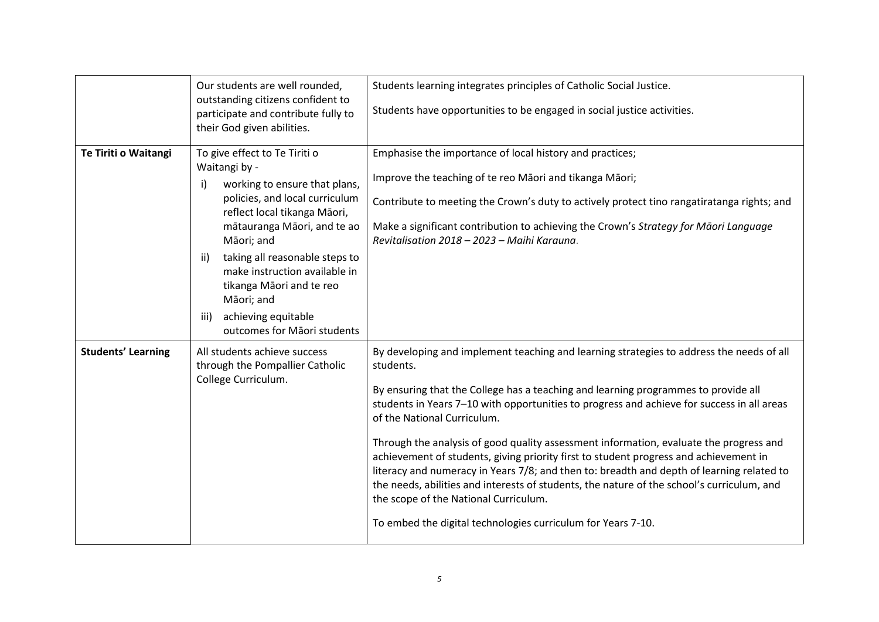|                           | Our students are well rounded,<br>outstanding citizens confident to<br>participate and contribute fully to<br>their God given abilities.                                                                                                                                                                                                                                               | Students learning integrates principles of Catholic Social Justice.<br>Students have opportunities to be engaged in social justice activities.                                                                                                                                                                                                                                                                                                                                                                                                                                                                                                                                                                                                                                                                  |
|---------------------------|----------------------------------------------------------------------------------------------------------------------------------------------------------------------------------------------------------------------------------------------------------------------------------------------------------------------------------------------------------------------------------------|-----------------------------------------------------------------------------------------------------------------------------------------------------------------------------------------------------------------------------------------------------------------------------------------------------------------------------------------------------------------------------------------------------------------------------------------------------------------------------------------------------------------------------------------------------------------------------------------------------------------------------------------------------------------------------------------------------------------------------------------------------------------------------------------------------------------|
| Te Tiriti o Waitangi      | To give effect to Te Tiriti o<br>Waitangi by -<br>working to ensure that plans,<br>i)<br>policies, and local curriculum<br>reflect local tikanga Māori,<br>mātauranga Māori, and te ao<br>Māori; and<br>taking all reasonable steps to<br>ii)<br>make instruction available in<br>tikanga Māori and te reo<br>Māori; and<br>achieving equitable<br>iii)<br>outcomes for Māori students | Emphasise the importance of local history and practices;<br>Improve the teaching of te reo Māori and tikanga Māori;<br>Contribute to meeting the Crown's duty to actively protect tino rangatiratanga rights; and<br>Make a significant contribution to achieving the Crown's Strategy for Māori Language<br>Revitalisation 2018 - 2023 - Maihi Karauna.                                                                                                                                                                                                                                                                                                                                                                                                                                                        |
| <b>Students' Learning</b> | All students achieve success<br>through the Pompallier Catholic<br>College Curriculum.                                                                                                                                                                                                                                                                                                 | By developing and implement teaching and learning strategies to address the needs of all<br>students.<br>By ensuring that the College has a teaching and learning programmes to provide all<br>students in Years 7-10 with opportunities to progress and achieve for success in all areas<br>of the National Curriculum.<br>Through the analysis of good quality assessment information, evaluate the progress and<br>achievement of students, giving priority first to student progress and achievement in<br>literacy and numeracy in Years 7/8; and then to: breadth and depth of learning related to<br>the needs, abilities and interests of students, the nature of the school's curriculum, and<br>the scope of the National Curriculum.<br>To embed the digital technologies curriculum for Years 7-10. |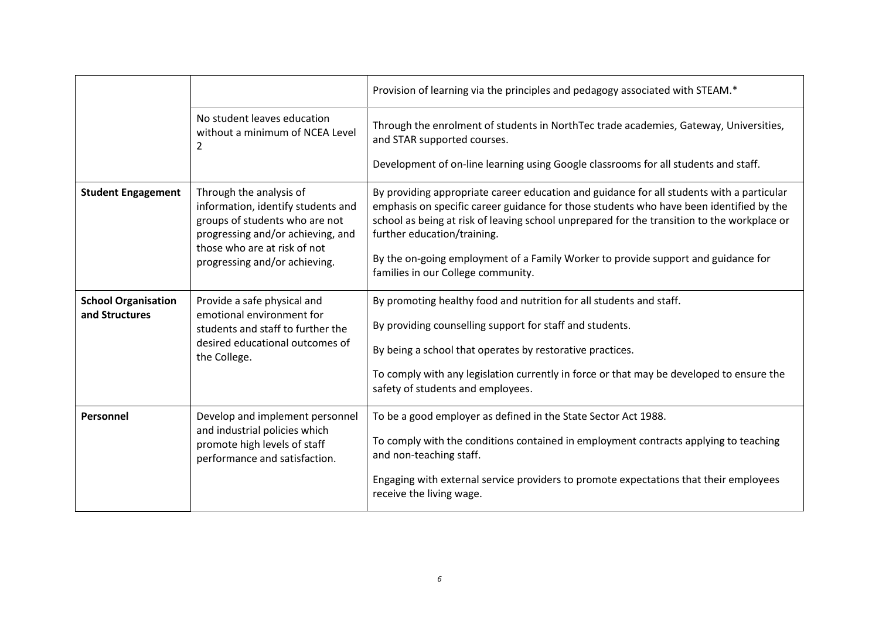|                                              |                                                                                                                                                                                                       | Provision of learning via the principles and pedagogy associated with STEAM.*                                                                                                                                                                                                                                                                                                                                                                 |
|----------------------------------------------|-------------------------------------------------------------------------------------------------------------------------------------------------------------------------------------------------------|-----------------------------------------------------------------------------------------------------------------------------------------------------------------------------------------------------------------------------------------------------------------------------------------------------------------------------------------------------------------------------------------------------------------------------------------------|
|                                              | No student leaves education<br>without a minimum of NCEA Level<br>2                                                                                                                                   | Through the enrolment of students in NorthTec trade academies, Gateway, Universities,<br>and STAR supported courses.<br>Development of on-line learning using Google classrooms for all students and staff.                                                                                                                                                                                                                                   |
| <b>Student Engagement</b>                    | Through the analysis of<br>information, identify students and<br>groups of students who are not<br>progressing and/or achieving, and<br>those who are at risk of not<br>progressing and/or achieving. | By providing appropriate career education and guidance for all students with a particular<br>emphasis on specific career guidance for those students who have been identified by the<br>school as being at risk of leaving school unprepared for the transition to the workplace or<br>further education/training.<br>By the on-going employment of a Family Worker to provide support and guidance for<br>families in our College community. |
| <b>School Organisation</b><br>and Structures | Provide a safe physical and<br>emotional environment for<br>students and staff to further the<br>desired educational outcomes of<br>the College.                                                      | By promoting healthy food and nutrition for all students and staff.<br>By providing counselling support for staff and students.<br>By being a school that operates by restorative practices.<br>To comply with any legislation currently in force or that may be developed to ensure the<br>safety of students and employees.                                                                                                                 |
| Personnel                                    | Develop and implement personnel<br>and industrial policies which<br>promote high levels of staff<br>performance and satisfaction.                                                                     | To be a good employer as defined in the State Sector Act 1988.<br>To comply with the conditions contained in employment contracts applying to teaching<br>and non-teaching staff.<br>Engaging with external service providers to promote expectations that their employees<br>receive the living wage.                                                                                                                                        |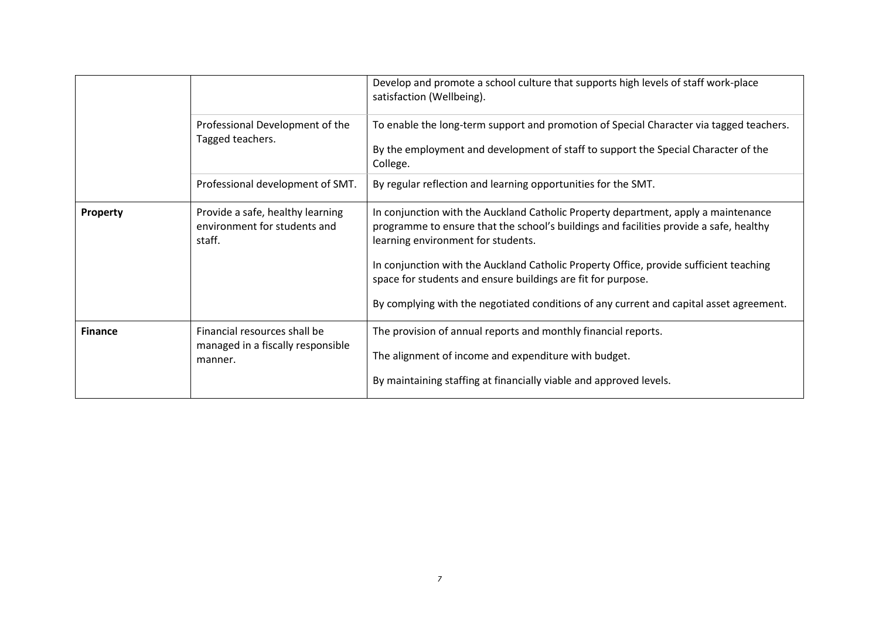|                |                                                                            | Develop and promote a school culture that supports high levels of staff work-place<br>satisfaction (Wellbeing).                                                                                                    |
|----------------|----------------------------------------------------------------------------|--------------------------------------------------------------------------------------------------------------------------------------------------------------------------------------------------------------------|
|                | Professional Development of the<br>Tagged teachers.                        | To enable the long-term support and promotion of Special Character via tagged teachers.<br>By the employment and development of staff to support the Special Character of the<br>College.                          |
|                | Professional development of SMT.                                           | By regular reflection and learning opportunities for the SMT.                                                                                                                                                      |
| Property       | Provide a safe, healthy learning<br>environment for students and<br>staff. | In conjunction with the Auckland Catholic Property department, apply a maintenance<br>programme to ensure that the school's buildings and facilities provide a safe, healthy<br>learning environment for students. |
|                |                                                                            | In conjunction with the Auckland Catholic Property Office, provide sufficient teaching<br>space for students and ensure buildings are fit for purpose.                                                             |
|                |                                                                            | By complying with the negotiated conditions of any current and capital asset agreement.                                                                                                                            |
| <b>Finance</b> | Financial resources shall be<br>managed in a fiscally responsible          | The provision of annual reports and monthly financial reports.                                                                                                                                                     |
|                | manner.                                                                    | The alignment of income and expenditure with budget.                                                                                                                                                               |
|                |                                                                            | By maintaining staffing at financially viable and approved levels.                                                                                                                                                 |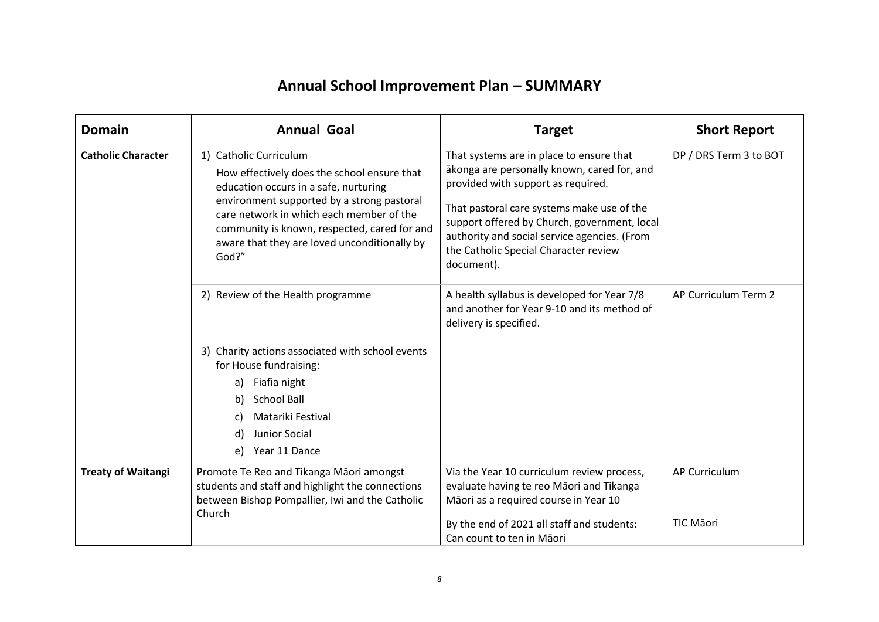# **Annual School Improvement Plan – SUMMARY**

| <b>Domain</b>             | <b>Annual Goal</b>                                                                                                                                                                                                                                                                                                | <b>Target</b>                                                                                                                                                                                                                                                                                                                      | <b>Short Report</b>               |
|---------------------------|-------------------------------------------------------------------------------------------------------------------------------------------------------------------------------------------------------------------------------------------------------------------------------------------------------------------|------------------------------------------------------------------------------------------------------------------------------------------------------------------------------------------------------------------------------------------------------------------------------------------------------------------------------------|-----------------------------------|
| <b>Catholic Character</b> | 1) Catholic Curriculum<br>How effectively does the school ensure that<br>education occurs in a safe, nurturing<br>environment supported by a strong pastoral<br>care network in which each member of the<br>community is known, respected, cared for and<br>aware that they are loved unconditionally by<br>God?" | That systems are in place to ensure that<br>ākonga are personally known, cared for, and<br>provided with support as required.<br>That pastoral care systems make use of the<br>support offered by Church, government, local<br>authority and social service agencies. (From<br>the Catholic Special Character review<br>document). | DP / DRS Term 3 to BOT            |
|                           | 2) Review of the Health programme                                                                                                                                                                                                                                                                                 | A health syllabus is developed for Year 7/8<br>and another for Year 9-10 and its method of<br>delivery is specified.                                                                                                                                                                                                               | AP Curriculum Term 2              |
|                           | 3) Charity actions associated with school events<br>for House fundraising:<br>Fiafia night<br>a)<br><b>School Ball</b><br>b)<br>Matariki Festival<br>C)<br>Junior Social<br>d)<br>Year 11 Dance<br>e)                                                                                                             |                                                                                                                                                                                                                                                                                                                                    |                                   |
| <b>Treaty of Waitangi</b> | Promote Te Reo and Tikanga Māori amongst<br>students and staff and highlight the connections<br>between Bishop Pompallier, Iwi and the Catholic<br>Church                                                                                                                                                         | Via the Year 10 curriculum review process,<br>evaluate having te reo Māori and Tikanga<br>Māori as a required course in Year 10<br>By the end of 2021 all staff and students:<br>Can count to ten in Māori                                                                                                                         | AP Curriculum<br><b>TIC Māori</b> |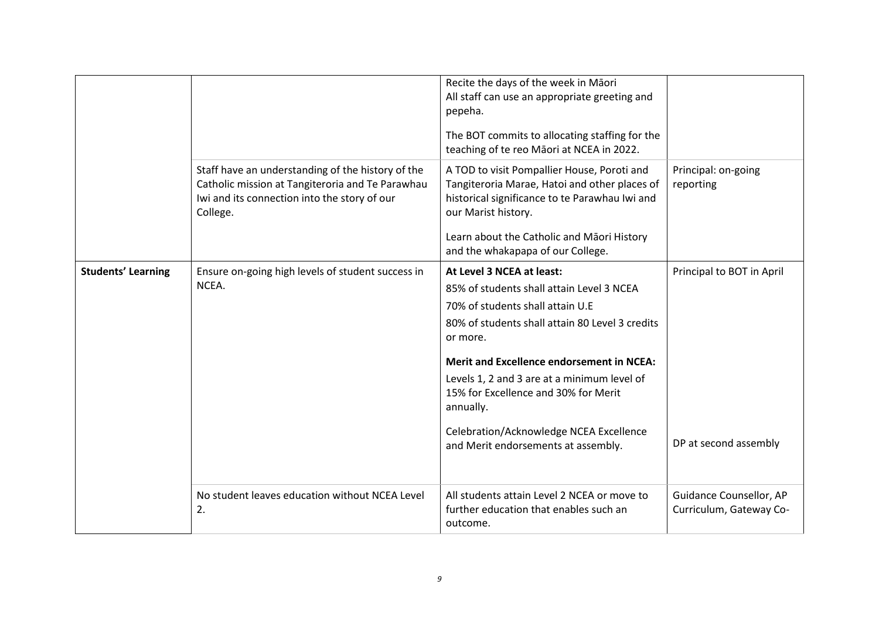|                           |                                                                                                                                                                   | Recite the days of the week in Māori<br>All staff can use an appropriate greeting and<br>pepeha.<br>The BOT commits to allocating staffing for the<br>teaching of te reo Māori at NCEA in 2022.                                                          |                                                    |
|---------------------------|-------------------------------------------------------------------------------------------------------------------------------------------------------------------|----------------------------------------------------------------------------------------------------------------------------------------------------------------------------------------------------------------------------------------------------------|----------------------------------------------------|
|                           | Staff have an understanding of the history of the<br>Catholic mission at Tangiteroria and Te Parawhau<br>Iwi and its connection into the story of our<br>College. | A TOD to visit Pompallier House, Poroti and<br>Tangiteroria Marae, Hatoi and other places of<br>historical significance to te Parawhau Iwi and<br>our Marist history.<br>Learn about the Catholic and Māori History<br>and the whakapapa of our College. | Principal: on-going<br>reporting                   |
|                           |                                                                                                                                                                   |                                                                                                                                                                                                                                                          |                                                    |
| <b>Students' Learning</b> | Ensure on-going high levels of student success in<br>NCEA.                                                                                                        | At Level 3 NCEA at least:                                                                                                                                                                                                                                | Principal to BOT in April                          |
|                           |                                                                                                                                                                   | 85% of students shall attain Level 3 NCEA                                                                                                                                                                                                                |                                                    |
|                           |                                                                                                                                                                   | 70% of students shall attain U.E                                                                                                                                                                                                                         |                                                    |
|                           |                                                                                                                                                                   | 80% of students shall attain 80 Level 3 credits<br>or more.                                                                                                                                                                                              |                                                    |
|                           |                                                                                                                                                                   | <b>Merit and Excellence endorsement in NCEA:</b>                                                                                                                                                                                                         |                                                    |
|                           |                                                                                                                                                                   | Levels 1, 2 and 3 are at a minimum level of<br>15% for Excellence and 30% for Merit<br>annually.                                                                                                                                                         |                                                    |
|                           |                                                                                                                                                                   | Celebration/Acknowledge NCEA Excellence<br>and Merit endorsements at assembly.                                                                                                                                                                           | DP at second assembly                              |
|                           | No student leaves education without NCEA Level<br>2.                                                                                                              | All students attain Level 2 NCEA or move to<br>further education that enables such an<br>outcome.                                                                                                                                                        | Guidance Counsellor, AP<br>Curriculum, Gateway Co- |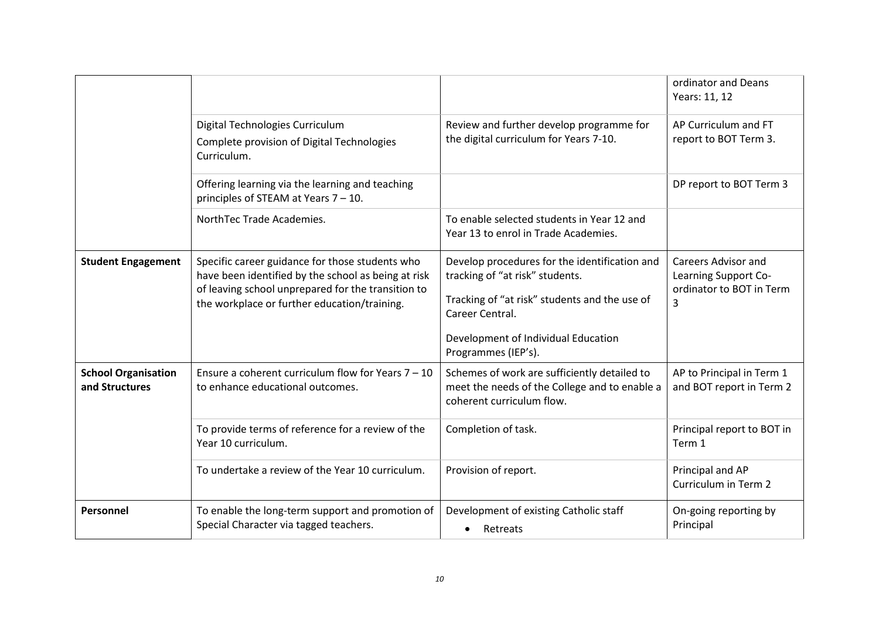|                                              |                                                                                                                                                                                                              |                                                                                                                                                                                                                    | ordinator and Deans<br>Years: 11, 12                                         |
|----------------------------------------------|--------------------------------------------------------------------------------------------------------------------------------------------------------------------------------------------------------------|--------------------------------------------------------------------------------------------------------------------------------------------------------------------------------------------------------------------|------------------------------------------------------------------------------|
|                                              | Digital Technologies Curriculum<br>Complete provision of Digital Technologies<br>Curriculum.                                                                                                                 | Review and further develop programme for<br>the digital curriculum for Years 7-10.                                                                                                                                 | AP Curriculum and FT<br>report to BOT Term 3.                                |
|                                              | Offering learning via the learning and teaching<br>principles of STEAM at Years 7 - 10.                                                                                                                      |                                                                                                                                                                                                                    | DP report to BOT Term 3                                                      |
|                                              | NorthTec Trade Academies.                                                                                                                                                                                    | To enable selected students in Year 12 and<br>Year 13 to enrol in Trade Academies.                                                                                                                                 |                                                                              |
| <b>Student Engagement</b>                    | Specific career guidance for those students who<br>have been identified by the school as being at risk<br>of leaving school unprepared for the transition to<br>the workplace or further education/training. | Develop procedures for the identification and<br>tracking of "at risk" students.<br>Tracking of "at risk" students and the use of<br>Career Central.<br>Development of Individual Education<br>Programmes (IEP's). | Careers Advisor and<br>Learning Support Co-<br>ordinator to BOT in Term<br>3 |
| <b>School Organisation</b><br>and Structures | Ensure a coherent curriculum flow for Years $7 - 10$<br>to enhance educational outcomes.                                                                                                                     | Schemes of work are sufficiently detailed to<br>meet the needs of the College and to enable a<br>coherent curriculum flow.                                                                                         | AP to Principal in Term 1<br>and BOT report in Term 2                        |
|                                              | To provide terms of reference for a review of the<br>Year 10 curriculum.                                                                                                                                     | Completion of task.                                                                                                                                                                                                | Principal report to BOT in<br>Term 1                                         |
|                                              | To undertake a review of the Year 10 curriculum.                                                                                                                                                             | Provision of report.                                                                                                                                                                                               | Principal and AP<br>Curriculum in Term 2                                     |
| Personnel                                    | To enable the long-term support and promotion of<br>Special Character via tagged teachers.                                                                                                                   | Development of existing Catholic staff<br>Retreats                                                                                                                                                                 | On-going reporting by<br>Principal                                           |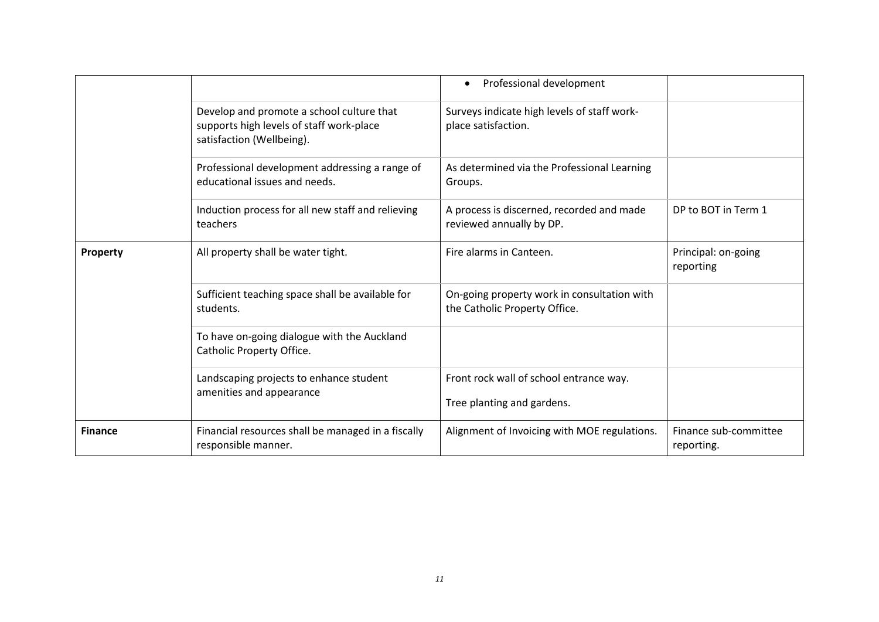|                |                                                                                                                    | Professional development                                                     |                                     |
|----------------|--------------------------------------------------------------------------------------------------------------------|------------------------------------------------------------------------------|-------------------------------------|
|                | Develop and promote a school culture that<br>supports high levels of staff work-place<br>satisfaction (Wellbeing). | Surveys indicate high levels of staff work-<br>place satisfaction.           |                                     |
|                | Professional development addressing a range of<br>educational issues and needs.                                    | As determined via the Professional Learning<br>Groups.                       |                                     |
|                | Induction process for all new staff and relieving<br>teachers                                                      | A process is discerned, recorded and made<br>reviewed annually by DP.        | DP to BOT in Term 1                 |
| Property       | All property shall be water tight.                                                                                 | Fire alarms in Canteen.                                                      | Principal: on-going<br>reporting    |
|                | Sufficient teaching space shall be available for<br>students.                                                      | On-going property work in consultation with<br>the Catholic Property Office. |                                     |
|                | To have on-going dialogue with the Auckland<br>Catholic Property Office.                                           |                                                                              |                                     |
|                | Landscaping projects to enhance student<br>amenities and appearance                                                | Front rock wall of school entrance way.<br>Tree planting and gardens.        |                                     |
| <b>Finance</b> | Financial resources shall be managed in a fiscally<br>responsible manner.                                          | Alignment of Invoicing with MOE regulations.                                 | Finance sub-committee<br>reporting. |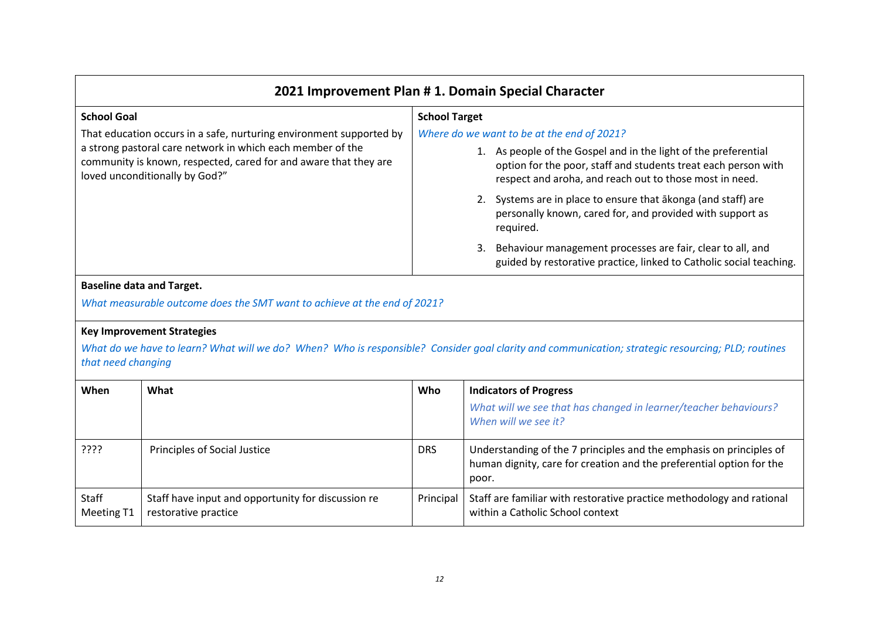| 2021 Improvement Plan # 1. Domain Special Character                                                                                                              |                                                                                                                                                                                              |  |
|------------------------------------------------------------------------------------------------------------------------------------------------------------------|----------------------------------------------------------------------------------------------------------------------------------------------------------------------------------------------|--|
| <b>School Goal</b>                                                                                                                                               | <b>School Target</b>                                                                                                                                                                         |  |
| That education occurs in a safe, nurturing environment supported by                                                                                              | Where do we want to be at the end of 2021?                                                                                                                                                   |  |
| a strong pastoral care network in which each member of the<br>community is known, respected, cared for and aware that they are<br>loved unconditionally by God?" | 1. As people of the Gospel and in the light of the preferential<br>option for the poor, staff and students treat each person with<br>respect and aroha, and reach out to those most in need. |  |
|                                                                                                                                                                  | 2. Systems are in place to ensure that akonga (and staff) are<br>personally known, cared for, and provided with support as<br>required.                                                      |  |
|                                                                                                                                                                  | 3. Behaviour management processes are fair, clear to all, and<br>guided by restorative practice, linked to Catholic social teaching.                                                         |  |
|                                                                                                                                                                  |                                                                                                                                                                                              |  |

#### **Baseline data and Target.**

*What measurable outcome does the SMT want to achieve at the end of 2021?*

#### **Key Improvement Strategies**

*What do we have to learn? What will we do? When? Who is responsible? Consider goal clarity and communication; strategic resourcing; PLD; routines that need changing*

| When                              | What                                                                       | Who        | <b>Indicators of Progress</b>                                                                                                                        |  |
|-----------------------------------|----------------------------------------------------------------------------|------------|------------------------------------------------------------------------------------------------------------------------------------------------------|--|
|                                   |                                                                            |            | What will we see that has changed in learner/teacher behaviours?<br>When will we see it?                                                             |  |
| ַיִּיִי                           | Principles of Social Justice                                               | <b>DRS</b> | Understanding of the 7 principles and the emphasis on principles of<br>human dignity, care for creation and the preferential option for the<br>poor. |  |
| <b>Staff</b><br><b>Meeting T1</b> | Staff have input and opportunity for discussion re<br>restorative practice | Principal  | Staff are familiar with restorative practice methodology and rational<br>within a Catholic School context                                            |  |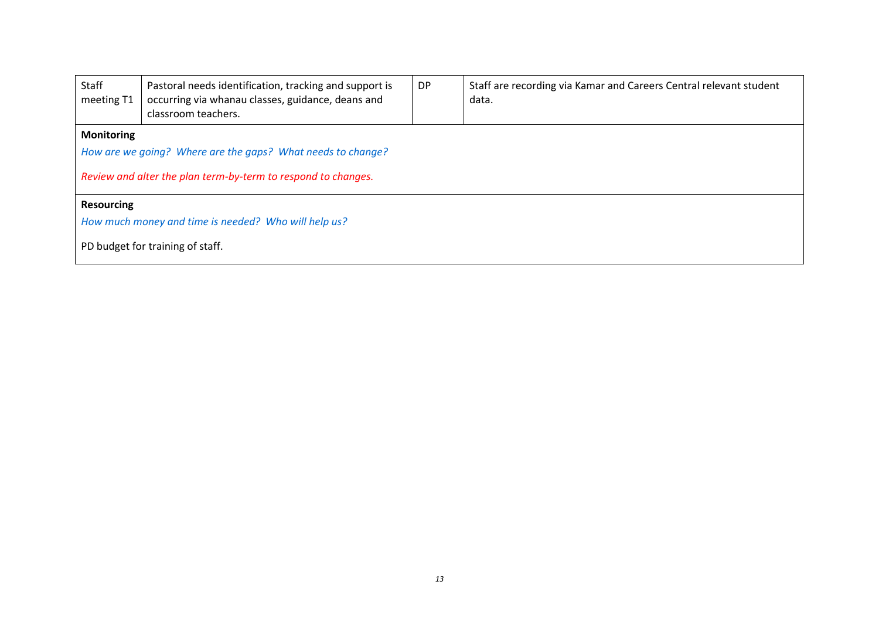| Staff<br>meeting T1                                  | Pastoral needs identification, tracking and support is<br>occurring via whanau classes, guidance, deans and<br>classroom teachers. | DP | Staff are recording via Kamar and Careers Central relevant student<br>data. |  |  |  |
|------------------------------------------------------|------------------------------------------------------------------------------------------------------------------------------------|----|-----------------------------------------------------------------------------|--|--|--|
| <b>Monitoring</b>                                    |                                                                                                                                    |    |                                                                             |  |  |  |
|                                                      | How are we going? Where are the gaps? What needs to change?                                                                        |    |                                                                             |  |  |  |
|                                                      | Review and alter the plan term-by-term to respond to changes.                                                                      |    |                                                                             |  |  |  |
| <b>Resourcing</b>                                    |                                                                                                                                    |    |                                                                             |  |  |  |
| How much money and time is needed? Who will help us? |                                                                                                                                    |    |                                                                             |  |  |  |
| PD budget for training of staff.                     |                                                                                                                                    |    |                                                                             |  |  |  |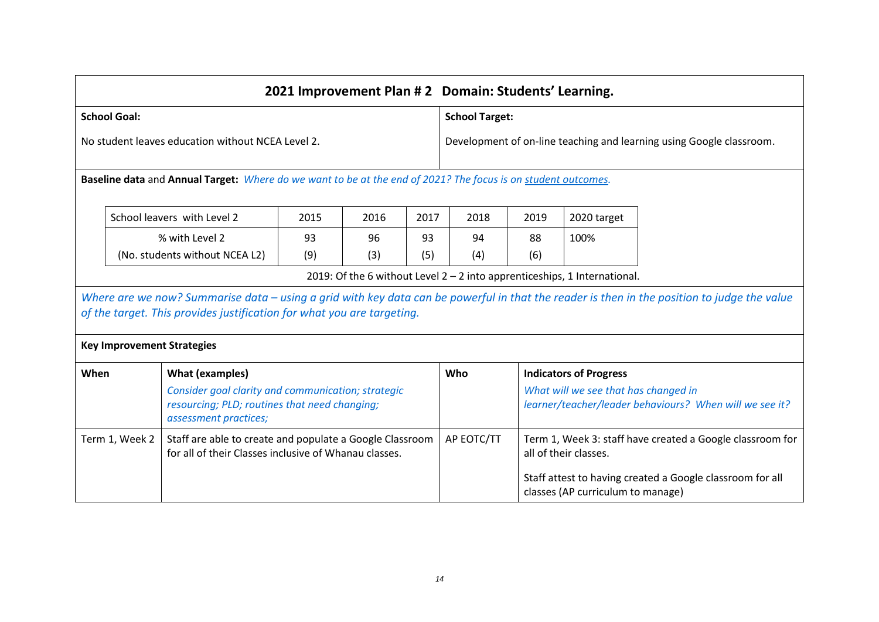|                                                                                                                                     | 2021 Improvement Plan #2 Domain: Students' Learning. |                                                                                                               |                                                                      |           |                                                                                                 |                                                           |           |                                                                             |                                                                                                                                             |
|-------------------------------------------------------------------------------------------------------------------------------------|------------------------------------------------------|---------------------------------------------------------------------------------------------------------------|----------------------------------------------------------------------|-----------|-------------------------------------------------------------------------------------------------|-----------------------------------------------------------|-----------|-----------------------------------------------------------------------------|---------------------------------------------------------------------------------------------------------------------------------------------|
| <b>School Goal:</b>                                                                                                                 |                                                      |                                                                                                               |                                                                      |           |                                                                                                 | <b>School Target:</b>                                     |           |                                                                             |                                                                                                                                             |
| No student leaves education without NCEA Level 2.                                                                                   |                                                      |                                                                                                               | Development of on-line teaching and learning using Google classroom. |           |                                                                                                 |                                                           |           |                                                                             |                                                                                                                                             |
|                                                                                                                                     |                                                      | Baseline data and Annual Target: Where do we want to be at the end of 2021? The focus is on student outcomes. |                                                                      |           |                                                                                                 |                                                           |           |                                                                             |                                                                                                                                             |
|                                                                                                                                     |                                                      | School leavers with Level 2                                                                                   | 2015                                                                 | 2016      | 2017                                                                                            | 2018                                                      | 2019      | 2020 target                                                                 |                                                                                                                                             |
|                                                                                                                                     |                                                      | % with Level 2<br>(No. students without NCEA L2)                                                              | 93<br>(9)                                                            | 96<br>(3) | 93<br>(5)                                                                                       | 94<br>(4)                                                 | 88<br>(6) | 100%                                                                        |                                                                                                                                             |
|                                                                                                                                     |                                                      |                                                                                                               |                                                                      |           |                                                                                                 |                                                           |           | 2019: Of the 6 without Level $2 - 2$ into apprenticeships, 1 International. |                                                                                                                                             |
|                                                                                                                                     |                                                      | of the target. This provides justification for what you are targeting.                                        |                                                                      |           |                                                                                                 |                                                           |           |                                                                             | Where are we now? Summarise data – using a grid with key data can be powerful in that the reader is then in the position to judge the value |
|                                                                                                                                     |                                                      | <b>Key Improvement Strategies</b>                                                                             |                                                                      |           |                                                                                                 |                                                           |           |                                                                             |                                                                                                                                             |
| When                                                                                                                                |                                                      | <b>What (examples)</b>                                                                                        |                                                                      |           |                                                                                                 | Who                                                       |           | <b>Indicators of Progress</b>                                               |                                                                                                                                             |
| Consider goal clarity and communication; strategic<br>resourcing; PLD; routines that need changing;<br>assessment practices;        |                                                      |                                                                                                               |                                                                      |           | What will we see that has changed in<br>learner/teacher/leader behaviours? When will we see it? |                                                           |           |                                                                             |                                                                                                                                             |
| Term 1, Week 2<br>Staff are able to create and populate a Google Classroom<br>for all of their Classes inclusive of Whanau classes. |                                                      |                                                                                                               | AP EOTC/TT                                                           |           | Term 1, Week 3: staff have created a Google classroom for<br>all of their classes.              |                                                           |           |                                                                             |                                                                                                                                             |
|                                                                                                                                     |                                                      |                                                                                                               |                                                                      |           | classes (AP curriculum to manage)                                                               | Staff attest to having created a Google classroom for all |           |                                                                             |                                                                                                                                             |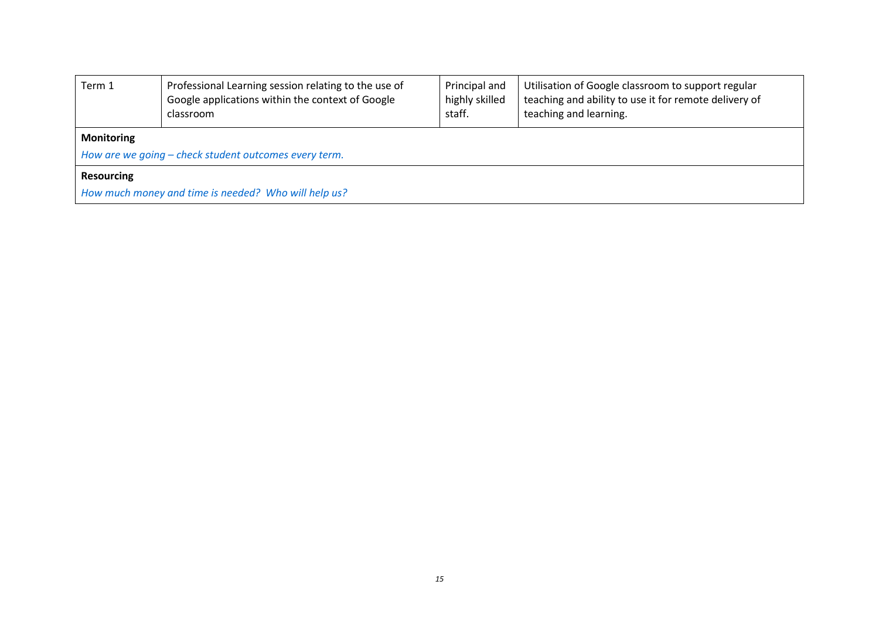| Term 1                                                                     | Professional Learning session relating to the use of<br>Google applications within the context of Google<br>classroom | Principal and<br>highly skilled<br>staff. | Utilisation of Google classroom to support regular<br>teaching and ability to use it for remote delivery of<br>teaching and learning. |  |  |  |
|----------------------------------------------------------------------------|-----------------------------------------------------------------------------------------------------------------------|-------------------------------------------|---------------------------------------------------------------------------------------------------------------------------------------|--|--|--|
| <b>Monitoring</b><br>How are we going – check student outcomes every term. |                                                                                                                       |                                           |                                                                                                                                       |  |  |  |
| <b>Resourcing</b>                                                          |                                                                                                                       |                                           |                                                                                                                                       |  |  |  |
| How much money and time is needed? Who will help us?                       |                                                                                                                       |                                           |                                                                                                                                       |  |  |  |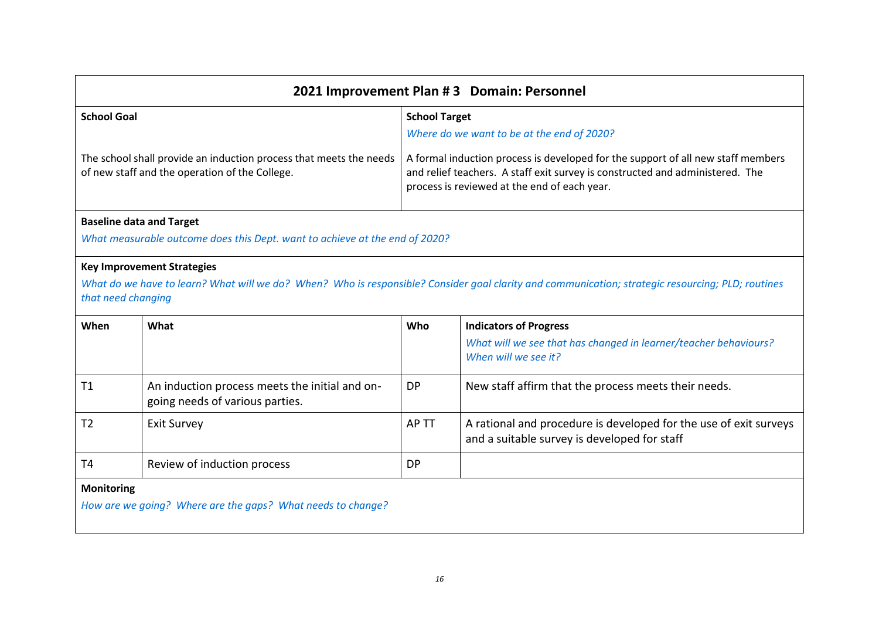| 2021 Improvement Plan #3 Domain: Personnel |                                                                                                                      |           |                                                                                                                                                                                                                   |  |  |
|--------------------------------------------|----------------------------------------------------------------------------------------------------------------------|-----------|-------------------------------------------------------------------------------------------------------------------------------------------------------------------------------------------------------------------|--|--|
| <b>School Goal</b>                         |                                                                                                                      |           | <b>School Target</b>                                                                                                                                                                                              |  |  |
|                                            |                                                                                                                      |           | Where do we want to be at the end of 2020?                                                                                                                                                                        |  |  |
|                                            | The school shall provide an induction process that meets the needs<br>of new staff and the operation of the College. |           | A formal induction process is developed for the support of all new staff members<br>and relief teachers. A staff exit survey is constructed and administered. The<br>process is reviewed at the end of each year. |  |  |
|                                            | <b>Baseline data and Target</b>                                                                                      |           |                                                                                                                                                                                                                   |  |  |
|                                            | What measurable outcome does this Dept. want to achieve at the end of 2020?                                          |           |                                                                                                                                                                                                                   |  |  |
| that need changing                         | <b>Key Improvement Strategies</b>                                                                                    |           | What do we have to learn? What will we do? When? Who is responsible? Consider goal clarity and communication; strategic resourcing; PLD; routines                                                                 |  |  |
| When                                       | What                                                                                                                 | Who       | <b>Indicators of Progress</b>                                                                                                                                                                                     |  |  |
|                                            |                                                                                                                      |           | What will we see that has changed in learner/teacher behaviours?<br>When will we see it?                                                                                                                          |  |  |
| T1                                         | An induction process meets the initial and on-<br>going needs of various parties.                                    | <b>DP</b> | New staff affirm that the process meets their needs.                                                                                                                                                              |  |  |
| T <sub>2</sub>                             | <b>Exit Survey</b>                                                                                                   | AP TT     | A rational and procedure is developed for the use of exit surveys<br>and a suitable survey is developed for staff                                                                                                 |  |  |
| T4                                         | Review of induction process                                                                                          | <b>DP</b> |                                                                                                                                                                                                                   |  |  |
| <b>Monitoring</b>                          | How are we going? Where are the gaps? What needs to change?                                                          |           |                                                                                                                                                                                                                   |  |  |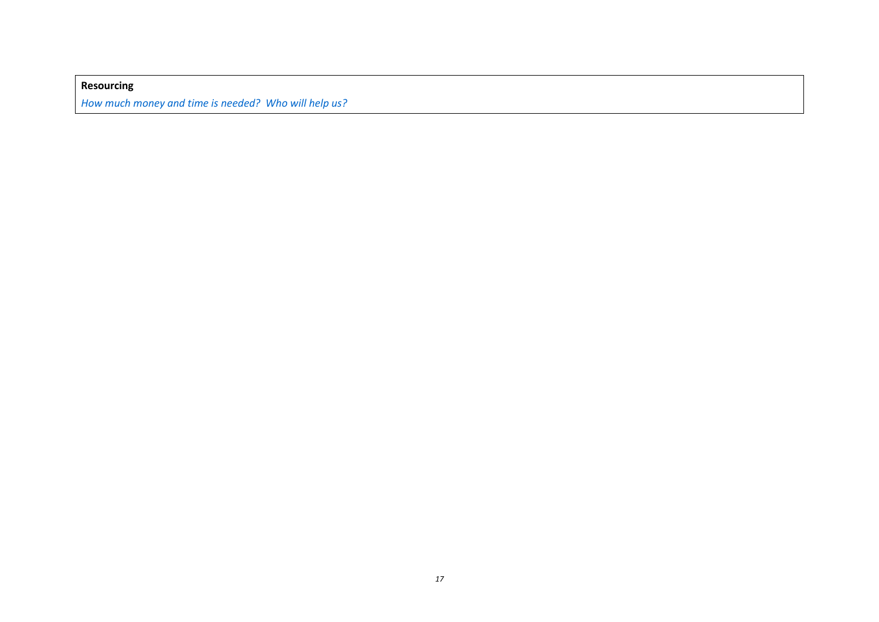**Resourcing** *How much money and time is needed? Who will help us?*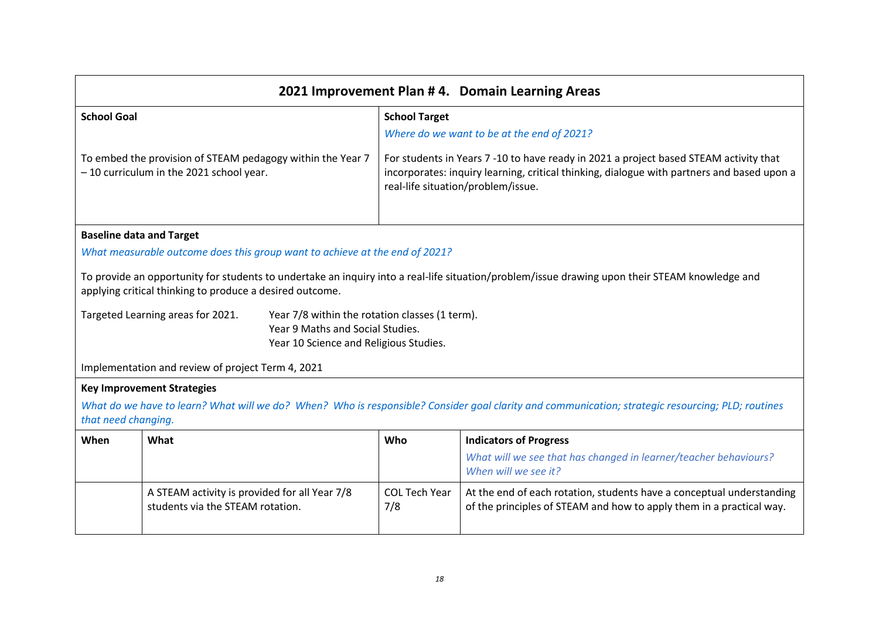| 2021 Improvement Plan #4. Domain Learning Areas |                                                                                                                                                                                                                                                                                                                                                                                                                                      |                                                                                                                                                                                                                           |                                                                                                                                                   |  |  |  |
|-------------------------------------------------|--------------------------------------------------------------------------------------------------------------------------------------------------------------------------------------------------------------------------------------------------------------------------------------------------------------------------------------------------------------------------------------------------------------------------------------|---------------------------------------------------------------------------------------------------------------------------------------------------------------------------------------------------------------------------|---------------------------------------------------------------------------------------------------------------------------------------------------|--|--|--|
| <b>School Goal</b>                              |                                                                                                                                                                                                                                                                                                                                                                                                                                      | <b>School Target</b>                                                                                                                                                                                                      |                                                                                                                                                   |  |  |  |
|                                                 |                                                                                                                                                                                                                                                                                                                                                                                                                                      |                                                                                                                                                                                                                           | Where do we want to be at the end of 2021?                                                                                                        |  |  |  |
|                                                 | To embed the provision of STEAM pedagogy within the Year 7<br>- 10 curriculum in the 2021 school year.                                                                                                                                                                                                                                                                                                                               | For students in Years 7 -10 to have ready in 2021 a project based STEAM activity that<br>incorporates: inquiry learning, critical thinking, dialogue with partners and based upon a<br>real-life situation/problem/issue. |                                                                                                                                                   |  |  |  |
|                                                 | <b>Baseline data and Target</b>                                                                                                                                                                                                                                                                                                                                                                                                      |                                                                                                                                                                                                                           |                                                                                                                                                   |  |  |  |
|                                                 | What measurable outcome does this group want to achieve at the end of 2021?                                                                                                                                                                                                                                                                                                                                                          |                                                                                                                                                                                                                           |                                                                                                                                                   |  |  |  |
|                                                 | To provide an opportunity for students to undertake an inquiry into a real-life situation/problem/issue drawing upon their STEAM knowledge and<br>applying critical thinking to produce a desired outcome.<br>Year 7/8 within the rotation classes (1 term).<br>Targeted Learning areas for 2021.<br>Year 9 Maths and Social Studies.<br>Year 10 Science and Religious Studies.<br>Implementation and review of project Term 4, 2021 |                                                                                                                                                                                                                           |                                                                                                                                                   |  |  |  |
|                                                 | <b>Key Improvement Strategies</b>                                                                                                                                                                                                                                                                                                                                                                                                    |                                                                                                                                                                                                                           |                                                                                                                                                   |  |  |  |
| that need changing.                             |                                                                                                                                                                                                                                                                                                                                                                                                                                      |                                                                                                                                                                                                                           | What do we have to learn? What will we do? When? Who is responsible? Consider goal clarity and communication; strategic resourcing; PLD; routines |  |  |  |
| When                                            | What                                                                                                                                                                                                                                                                                                                                                                                                                                 | Who                                                                                                                                                                                                                       | <b>Indicators of Progress</b>                                                                                                                     |  |  |  |
|                                                 |                                                                                                                                                                                                                                                                                                                                                                                                                                      |                                                                                                                                                                                                                           | What will we see that has changed in learner/teacher behaviours?<br>When will we see it?                                                          |  |  |  |
|                                                 | A STEAM activity is provided for all Year 7/8<br>students via the STEAM rotation.                                                                                                                                                                                                                                                                                                                                                    | <b>COL Tech Year</b><br>7/8                                                                                                                                                                                               | At the end of each rotation, students have a conceptual understanding<br>of the principles of STEAM and how to apply them in a practical way.     |  |  |  |

 $\mathbf{r}$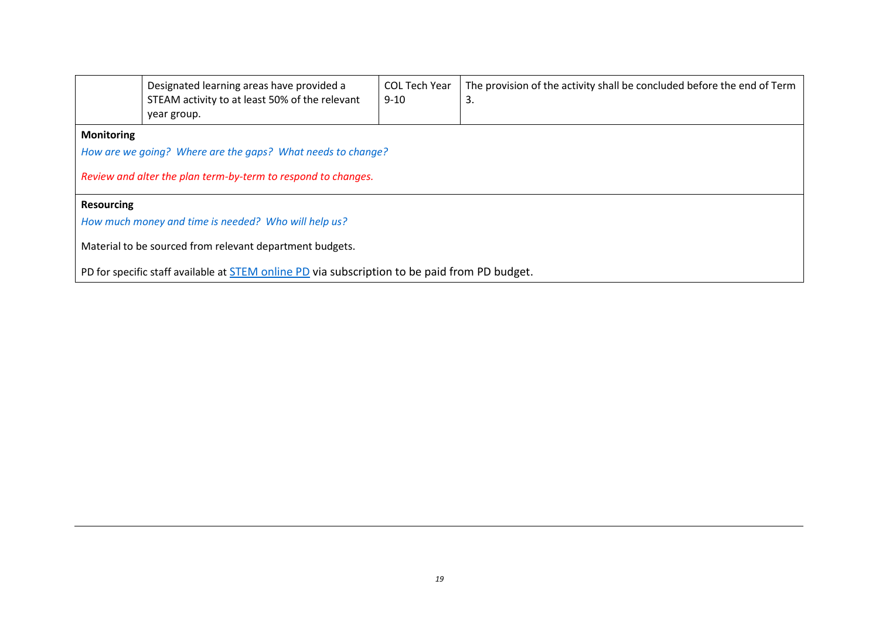|                                                                                               | Designated learning areas have provided a<br>STEAM activity to at least 50% of the relevant<br>year group. | <b>COL Tech Year</b><br>$9 - 10$ | The provision of the activity shall be concluded before the end of Term<br>3. |  |
|-----------------------------------------------------------------------------------------------|------------------------------------------------------------------------------------------------------------|----------------------------------|-------------------------------------------------------------------------------|--|
| <b>Monitoring</b>                                                                             |                                                                                                            |                                  |                                                                               |  |
|                                                                                               | How are we going? Where are the gaps? What needs to change?                                                |                                  |                                                                               |  |
| Review and alter the plan term-by-term to respond to changes.                                 |                                                                                                            |                                  |                                                                               |  |
| <b>Resourcing</b>                                                                             |                                                                                                            |                                  |                                                                               |  |
| How much money and time is needed? Who will help us?                                          |                                                                                                            |                                  |                                                                               |  |
| Material to be sourced from relevant department budgets.                                      |                                                                                                            |                                  |                                                                               |  |
| PD for specific staff available at STEM online PD via subscription to be paid from PD budget. |                                                                                                            |                                  |                                                                               |  |